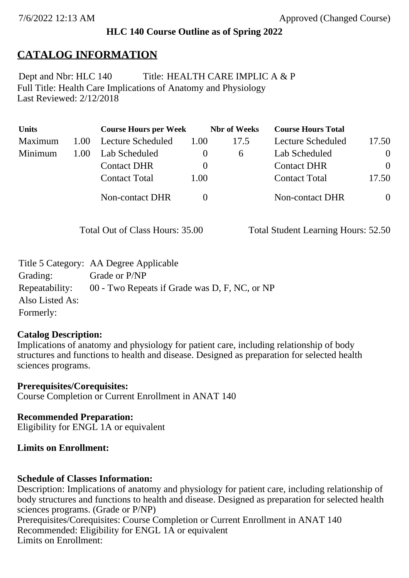### **HLC 140 Course Outline as of Spring 2022**

## **CATALOG INFORMATION**

Full Title: Health Care Implications of Anatomy and Physiology Last Reviewed: 2/12/2018 Dept and Nbr: HLC 140 Title: HEALTH CARE IMPLIC A & P

| <b>Units</b> |      | <b>Course Hours per Week</b> |      | <b>Nbr</b> of Weeks | <b>Course Hours Total</b> |                |
|--------------|------|------------------------------|------|---------------------|---------------------------|----------------|
| Maximum      | 1.00 | Lecture Scheduled            | 1.00 | 17.5                | Lecture Scheduled         | 17.50          |
| Minimum      | 1.00 | Lab Scheduled                |      | $\sigma$            | Lab Scheduled             | $\theta$       |
|              |      | <b>Contact DHR</b>           |      |                     | <b>Contact DHR</b>        | $\Omega$       |
|              |      | <b>Contact Total</b>         | 1.00 |                     | <b>Contact Total</b>      | 17.50          |
|              |      | Non-contact DHR              |      |                     | <b>Non-contact DHR</b>    | $\overline{0}$ |

Total Out of Class Hours: 35.00 Total Student Learning Hours: 52.50

|                 | Title 5 Category: AA Degree Applicable        |
|-----------------|-----------------------------------------------|
| Grading:        | Grade or P/NP                                 |
| Repeatability:  | 00 - Two Repeats if Grade was D, F, NC, or NP |
| Also Listed As: |                                               |
| Formerly:       |                                               |

### **Catalog Description:**

Implications of anatomy and physiology for patient care, including relationship of body structures and functions to health and disease. Designed as preparation for selected health sciences programs.

**Prerequisites/Corequisites:** Course Completion or Current Enrollment in ANAT 140

**Recommended Preparation:** Eligibility for ENGL 1A or equivalent

### **Limits on Enrollment:**

### **Schedule of Classes Information:**

Description: Implications of anatomy and physiology for patient care, including relationship of body structures and functions to health and disease. Designed as preparation for selected health sciences programs. (Grade or P/NP) Prerequisites/Corequisites: Course Completion or Current Enrollment in ANAT 140 Recommended: Eligibility for ENGL  $1\overrightarrow{A}$  or equivalent Limits on Enrollment: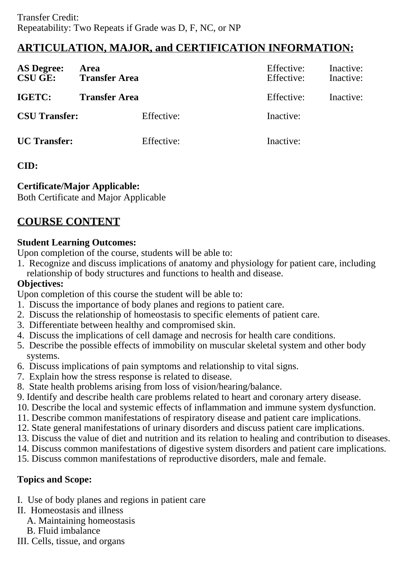# **ARTICULATION, MAJOR, and CERTIFICATION INFORMATION:**

| <b>AS Degree:</b><br><b>CSU GE:</b> | Area<br><b>Transfer Area</b> | Effective:<br>Effective: | Inactive:<br>Inactive: |
|-------------------------------------|------------------------------|--------------------------|------------------------|
| IGETC:                              | <b>Transfer Area</b>         | Effective:               | Inactive:              |
| <b>CSU Transfer:</b>                | Effective:                   | Inactive:                |                        |
| <b>UC</b> Transfer:                 | Effective:                   | Inactive:                |                        |

## **CID:**

## **Certificate/Major Applicable:**

[Both Certificate and Major Applicable](SR_ClassCheck.aspx?CourseKey=HLC140)

# **COURSE CONTENT**

## **Student Learning Outcomes:**

Upon completion of the course, students will be able to:

1. Recognize and discuss implications of anatomy and physiology for patient care, including relationship of body structures and functions to health and disease.

## **Objectives:**

Upon completion of this course the student will be able to:

- 1. Discuss the importance of body planes and regions to patient care.
- 2. Discuss the relationship of homeostasis to specific elements of patient care.
- 3. Differentiate between healthy and compromised skin.
- 4. Discuss the implications of cell damage and necrosis for health care conditions.
- 5. Describe the possible effects of immobility on muscular skeletal system and other body systems.
- 6. Discuss implications of pain symptoms and relationship to vital signs.
- 7. Explain how the stress response is related to disease.
- 8. State health problems arising from loss of vision/hearing/balance.
- 9. Identify and describe health care problems related to heart and coronary artery disease.
- 10. Describe the local and systemic effects of inflammation and immune system dysfunction.
- 11. Describe common manifestations of respiratory disease and patient care implications.
- 12. State general manifestations of urinary disorders and discuss patient care implications.
- 13. Discuss the value of diet and nutrition and its relation to healing and contribution to diseases.
- 14. Discuss common manifestations of digestive system disorders and patient care implications.
- 15. Discuss common manifestations of reproductive disorders, male and female.

## **Topics and Scope:**

- I. Use of body planes and regions in patient care
- II. Homeostasis and illness
	- A. Maintaining homeostasis
	- B. Fluid imbalance
- III. Cells, tissue, and organs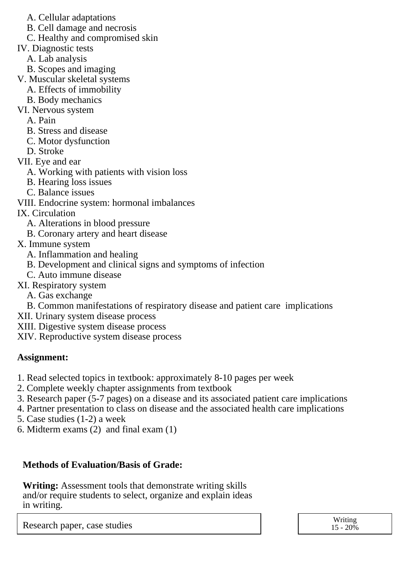- A. Cellular adaptations
- B. Cell damage and necrosis
- C. Healthy and compromised skin
- IV. Diagnostic tests
	- A. Lab analysis
	- B. Scopes and imaging
- V. Muscular skeletal systems
	- A. Effects of immobility
	- B. Body mechanics
- VI. Nervous system
	- A. Pain
	- B. Stress and disease
	- C. Motor dysfunction
	- D. Stroke
- VII. Eye and ear
	- A. Working with patients with vision loss
	- B. Hearing loss issues
	- C. Balance issues
- VIII. Endocrine system: hormonal imbalances
- IX. Circulation
	- A. Alterations in blood pressure
	- B. Coronary artery and heart disease
- X. Immune system
	- A. Inflammation and healing
	- B. Development and clinical signs and symptoms of infection
	- C. Auto immune disease
- XI. Respiratory system
	- A. Gas exchange
	- B. Common manifestations of respiratory disease and patient care implications
- XII. Urinary system disease process
- XIII. Digestive system disease process
- XIV. Reproductive system disease process

### **Assignment:**

- 1. Read selected topics in textbook: approximately 8-10 pages per week
- 2. Complete weekly chapter assignments from textbook
- 3. Research paper (5-7 pages) on a disease and its associated patient care implications
- 4. Partner presentation to class on disease and the associated health care implications
- 5. Case studies (1-2) a week
- 6. Midterm exams (2) and final exam (1)

## **Methods of Evaluation/Basis of Grade:**

**Writing:** Assessment tools that demonstrate writing skills and/or require students to select, organize and explain ideas in writing.

Research paper, case studies Network and the United States of the United States of the Writing Writing Network 15 - 20%

 $15 - 20\%$